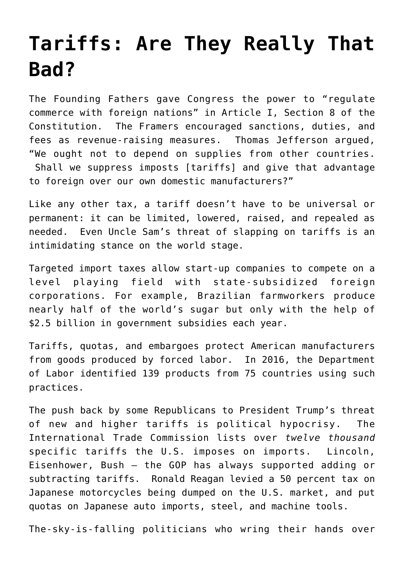## **[Tariffs: Are They Really That](https://intellectualtakeout.org/2017/02/tariffs-are-they-really-that-bad/) [Bad?](https://intellectualtakeout.org/2017/02/tariffs-are-they-really-that-bad/)**

The Founding Fathers gave Congress the power to "regulate commerce with foreign nations" in Article I, Section 8 of the Constitution. The Framers encouraged sanctions, duties, and fees as revenue-raising measures. Thomas Jefferson argued, "We ought not to depend on supplies from other countries. Shall we suppress imposts [tariffs] and give that advantage to foreign over our own domestic manufacturers?"

Like any other tax, a tariff doesn't have to be universal or permanent: it can be limited, lowered, raised, and repealed as needed. Even Uncle Sam's threat of slapping on tariffs is an intimidating stance on the world stage.

Targeted import taxes allow start-up companies to compete on a level playing field with state-subsidized foreign corporations. For example, Brazilian farmworkers produce nearly half of the world's sugar but only with the help of \$2.5 billion in government subsidies each year.

Tariffs, quotas, and embargoes protect American manufacturers from goods produced by forced labor. In 2016, the Department of Labor identified 139 products from 75 countries using such practices.

The push back by some Republicans to President Trump's threat of new and higher tariffs is political hypocrisy. The International Trade Commission lists over *twelve thousand* specific tariffs the U.S. imposes on imports. Lincoln, Eisenhower, Bush – the GOP has always supported adding or subtracting tariffs. Ronald Reagan levied a 50 percent tax on Japanese motorcycles being dumped on the U.S. market, and put quotas on Japanese auto imports, steel, and machine tools.

The-sky-is-falling politicians who wring their hands over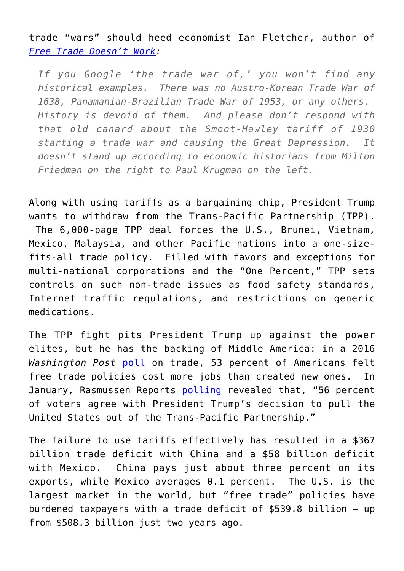trade "wars" should heed economist Ian Fletcher, author of *[Free Trade Doesn't Work](http://amzn.to/2l19mvG):*

*If you Google 'the trade war of,' you won't find any historical examples. There was no Austro-Korean Trade War of 1638, Panamanian-Brazilian Trade War of 1953, or any others. History is devoid of them. And please don't respond with that old canard about the Smoot-Hawley tariff of 1930 starting a trade war and causing the Great Depression. It doesn't stand up according to economic historians from Milton Friedman on the right to Paul Krugman on the left.*

Along with using tariffs as a bargaining chip, President Trump wants to withdraw from the Trans-Pacific Partnership (TPP). The 6,000-page TPP deal forces the U.S., Brunei, Vietnam, Mexico, Malaysia, and other Pacific nations into a one-sizefits-all trade policy. Filled with favors and exceptions for multi-national corporations and the "One Percent," TPP sets controls on such non-trade issues as food safety standards, Internet traffic regulations, and restrictions on generic medications.

The TPP fight pits President Trump up against the power elites, but he has the backing of Middle America: in a 2016 *Washington Post* [poll](https://www.washingtonpost.com/politics/poll-election-2016-shapes-up-as-a-contest-of-negatives/2016/05/21/8d4ccfd6-1ed3-11e6-b6e0-c53b7ef63b45_story.html?utm_term=.63dcfcaeadbe) on trade, 53 percent of Americans felt free trade policies cost more jobs than created new ones. In January, Rasmussen Reports [polling](http://www.rasmussenreports.com/public_content/politics/trump_administration/january_2017/most_applaud_end_of_tpp_want_changes_in_nafta) revealed that, "56 percent of voters agree with President Trump's decision to pull the United States out of the Trans-Pacific Partnership."

The failure to use tariffs effectively has resulted in a \$367 billion trade deficit with China and a \$58 billion deficit with Mexico. China pays just about three percent on its exports, while Mexico averages 0.1 percent. The U.S. is the largest market in the world, but "free trade" policies have burdened taxpayers with a trade deficit of \$539.8 billion – up from \$508.3 billion just two years ago.